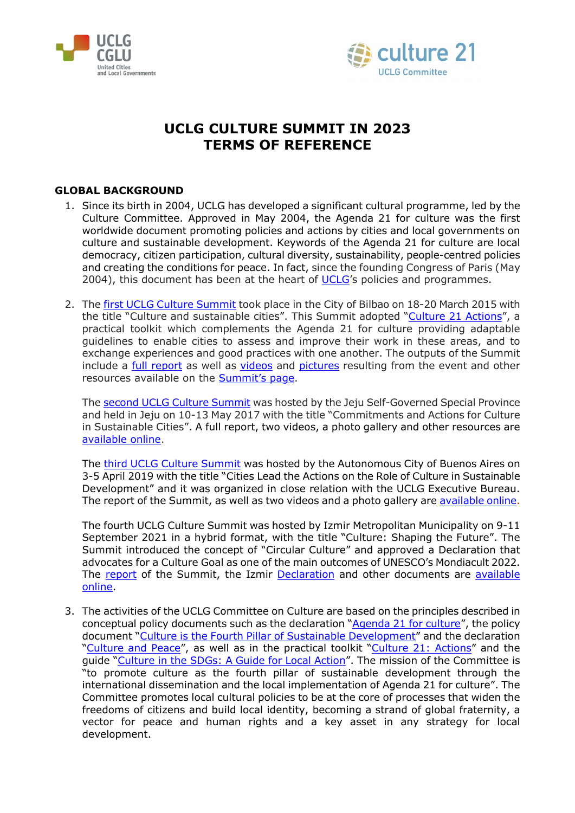



# **UCLG CULTURE SUMMIT IN 2023 TERMS OF REFERENCE**

# **GLOBAL BACKGROUND**

- 1. Since its birth in 2004, UCLG has developed a significant cultural programme, led by the Culture Committee. Approved in May 2004, the Agenda 21 for culture was the first worldwide document promoting policies and actions by cities and local governments on culture and sustainable development. Keywords of the Agenda 21 for culture are local democracy, citizen participation, cultural diversity, sustainability, people-centred policies and creating the conditions for peace. In fact, since the founding Congress of Paris (May 2004), this document has been at the heart of [UCLG'](http://www.uclg.org/)s policies and programmes.
- 2. The [first UCLG Culture Summit](http://www.agenda21culture.net/summit/1st-culture-summit) took place in the City of Bilbao on 18-20 March 2015 with the title "Culture and sustainable cities". This Summit adopted ["Culture 21 Actions"](http://www.agenda21culture.net/sites/default/files/files/documents/multi/c21_015_en_0.pdf), a practical toolkit which complements the Agenda 21 for culture providing adaptable guidelines to enable cities to assess and improve their work in these areas, and to exchange experiences and good practices with one another. The outputs of the Summit include a [full report](http://agenda21culture.net/sites/default/files/files/pages/summit-pages/report_CultureSummit-CGLU-Bilbao_ENG-low.pdf) as well as [videos](https://www.youtube.com/watch?v=64q9yjcDfYM) and [pictures](https://www.flickr.com/photos/130068617%40N04/sets/72157651506461612/) resulting from the event and other resources available on the [Summit's page.](http://www.agenda21culture.net/summit/1st-culture-summit)

The [second UCLG Culture Summit](http://www.agenda21culture.net/summit/2nd-culture-summit) was hosted by the Jeju Self-Governed Special Province and held in Jeju on 10-13 May 2017 with the title "Commitments and Actions for Culture in Sustainable Cities". A full report, two videos, a photo gallery and other resources are [available online.](http://www.agenda21culture.net/summit/2nd-culture-summit)

The third [UCLG Culture Summit](http://www.agenda21culture.net/summit/3rd-culture-summit) was hosted by the Autonomous City of Buenos Aires on 3-5 April 2019 with the title "Cities Lead the Actions on the Role of Culture in Sustainable Development" and it was organized in close relation with the UCLG Executive Bureau. The report of the Summit, as well as two videos and a photo gallery are [available online.](http://www.agenda21culture.net/summit/3rd-culture-summit)

The fourth UCLG Culture Summit was hosted by Izmir Metropolitan Municipality on 9-11 September 2021 in a hybrid format, with the title "Culture: Shaping the Future". The Summit introduced the concept of "Circular Culture" and approved a Declaration that advocates for a Culture Goal as one of the main outcomes of UNESCO's Mondiacult 2022. The [report](https://agenda21culture.net/sites/default/files/uclgculturesummit_izmir_finalreport_en.pdf) of the Summit, the Izmir [Declaration](https://agenda21culture.net/sites/default/files/izmir2021_statement_en.pdf) and other documents are [available](https://www.agenda21culture.net/summit/uclg-culture-summit-2021)  [online.](https://www.agenda21culture.net/summit/uclg-culture-summit-2021)

3. The activities of the UCLG Committee on Culture are based on the principles described in conceptual policy documents such as the declaration ["Agenda 21 for culture"](http://www.agenda21culture.net/documents/agenda-21-for-culture), the policy document ["Culture is the Fourth Pillar of Sustainable Development"](http://www.agenda21culture.net/documents/culture-the-fourth-pillar-of-sustainability) and the declaration ["Culture and Peace"](http://www.agenda21culture.net/news/mexico-city-declaration), as well as in the practical toolkit ["Culture 21:](http://www.agenda21culture.net/documents/culture-21-actions) Actions" and the guide ["Culture in the SDGs: A Guide for Local Action"](http://www.agenda21culture.net/sites/default/files/culturesdgs_web_en.pdf). The mission of the Committee is "to promote culture as the fourth pillar of sustainable development through the international dissemination and the local implementation of Agenda 21 for culture". The Committee promotes local cultural policies to be at the core of processes that widen the freedoms of citizens and build local identity, becoming a strand of global fraternity, a vector for peace and human rights and a key asset in any strategy for local development.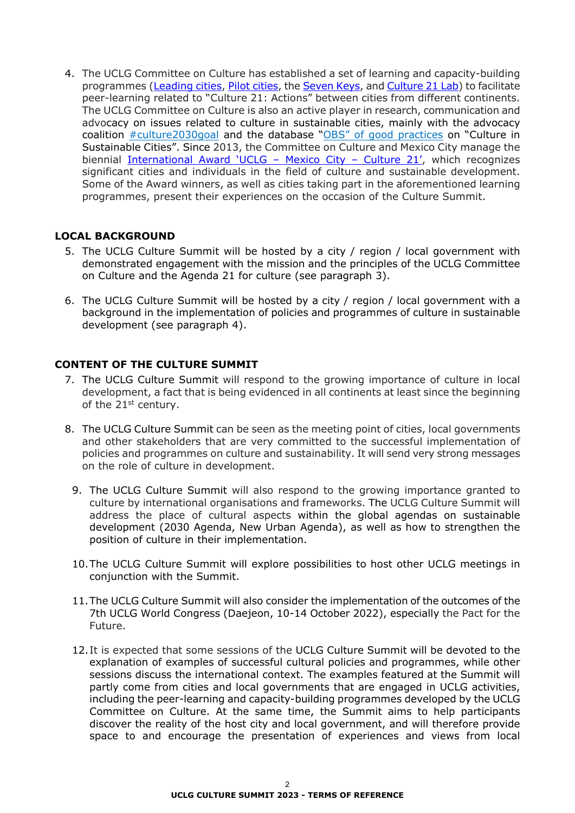4. The UCLG Committee on Culture has established a set of learning and capacity-building programmes [\(Leading cities,](http://www.agenda21culture.net/our-cities/leading-cities) [Pilot cities,](http://www.agenda21culture.net/our-cities/pilot-cities) the [Seven Keys,](https://agenda21culture.net/our-cities/seven-keys) and [Culture 21 Lab\)](http://www.agenda21culture.net/our-cities/culture-21-lab) to facilitate peer-learning related to "Culture 21: Actions" between cities from different continents. The UCLG Committee on Culture is also an active player in research, communication and advocacy on issues related to culture in sustainable cities, mainly with the advocacy coalition **#culture2030goal** and the database "OBS" [of good practices](http://obs.agenda21culture.net/en/) on "Culture in Sustainable Cities". Since 2013, the Committee on Culture and Mexico City manage the biennial [International Award 'UCLG –](http://www.agenda21culture.net/award) Mexico City – Culture 21', which recognizes significant cities and individuals in the field of culture and sustainable development. Some of the Award winners, as well as cities taking part in the aforementioned learning programmes, present their experiences on the occasion of the Culture Summit.

# **LOCAL BACKGROUND**

- 5. The UCLG Culture Summit will be hosted by a city / region / local government with demonstrated engagement with the mission and the principles of the UCLG Committee on Culture and the Agenda 21 for culture (see paragraph 3).
- 6. The UCLG Culture Summit will be hosted by a city / region / local government with a background in the implementation of policies and programmes of culture in sustainable development (see paragraph 4).

# **CONTENT OF THE CULTURE SUMMIT**

- 7. The UCLG Culture Summit will respond to the growing importance of culture in local development, a fact that is being evidenced in all continents at least since the beginning of the 21<sup>st</sup> century.
- 8. The UCLG Culture Summit can be seen as the meeting point of cities, local governments and other stakeholders that are very committed to the successful implementation of policies and programmes on culture and sustainability. It will send very strong messages on the role of culture in development.
	- 9. The UCLG Culture Summit will also respond to the growing importance granted to culture by international organisations and frameworks. The UCLG Culture Summit will address the place of cultural aspects within the global agendas on sustainable development (2030 Agenda, New Urban Agenda), as well as how to strengthen the position of culture in their implementation.
	- 10.The UCLG Culture Summit will explore possibilities to host other UCLG meetings in conjunction with the Summit.
	- 11.The UCLG Culture Summit will also consider the implementation of the outcomes of the 7th UCLG World Congress (Daejeon, 10-14 October 2022), especially the Pact for the Future.
	- 12.It is expected that some sessions of the UCLG Culture Summit will be devoted to the explanation of examples of successful cultural policies and programmes, while other sessions discuss the international context. The examples featured at the Summit will partly come from cities and local governments that are engaged in UCLG activities, including the peer-learning and capacity-building programmes developed by the UCLG Committee on Culture. At the same time, the Summit aims to help participants discover the reality of the host city and local government, and will therefore provide space to and encourage the presentation of experiences and views from local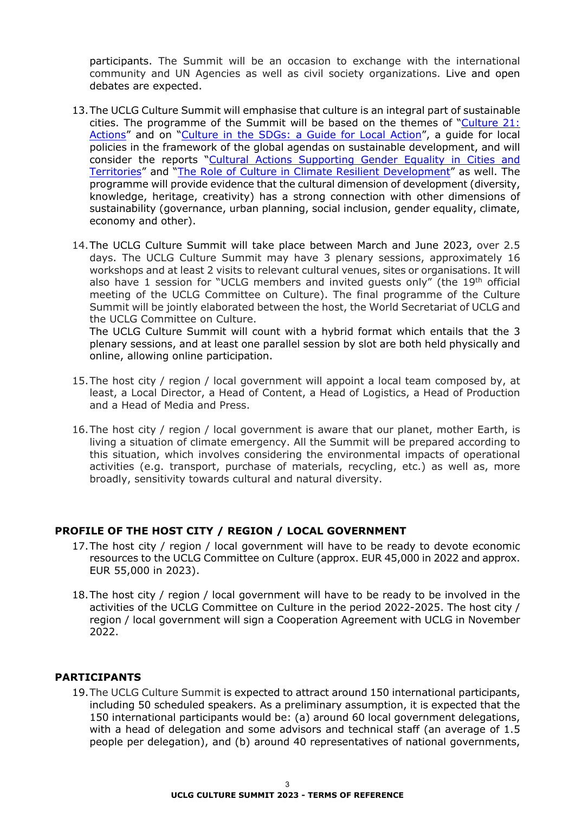participants. The Summit will be an occasion to exchange with the international community and UN Agencies as well as civil society organizations. Live and open debates are expected.

- 13.The UCLG Culture Summit will emphasise that culture is an integral part of sustainable cities. The programme of the Summit will be based on the themes of ["Culture 21:](https://agenda21culture.net/documents/culture-21-actions)  [Actions"](https://agenda21culture.net/documents/culture-21-actions) and on ["Culture in the SDGs: a Guide for Local Action"](https://www.agenda21culture.net/advocacy/culture-in-SDGs), a guide for local policies in the framework of the global agendas on sustainable development, and will consider the reports ["Cultural Actions Supporting Gender Equality in Cities and](https://www.agenda21culture.net/sites/default/files/files/documents/en/report_9_-_cultural_policies_and_gender_equality_-_en_1.pdf)  [Territories"](https://www.agenda21culture.net/sites/default/files/files/documents/en/report_9_-_cultural_policies_and_gender_equality_-_en_1.pdf) and ["The Role of Culture in Climate Resilient Development"](https://www.agenda21culture.net/sites/default/files/files/documents/en/report_10_-_culture_and_climate_resilient_development_-_en_1.pdf) as well. The programme will provide evidence that the cultural dimension of development (diversity, knowledge, heritage, creativity) has a strong connection with other dimensions of sustainability (governance, urban planning, social inclusion, gender equality, climate, economy and other).
- 14.The UCLG Culture Summit will take place between March and June 2023, over 2.5 days. The UCLG Culture Summit may have 3 plenary sessions, approximately 16 workshops and at least 2 visits to relevant cultural venues, sites or organisations. It will also have 1 session for "UCLG members and invited guests only" (the 19<sup>th</sup> official meeting of the UCLG Committee on Culture). The final programme of the Culture Summit will be jointly elaborated between the host, the World Secretariat of UCLG and the UCLG Committee on Culture.

The UCLG Culture Summit will count with a hybrid format which entails that the 3 plenary sessions, and at least one parallel session by slot are both held physically and online, allowing online participation.

- 15.The host city / region / local government will appoint a local team composed by, at least, a Local Director, a Head of Content, a Head of Logistics, a Head of Production and a Head of Media and Press.
- 16.The host city / region / local government is aware that our planet, mother Earth, is living a situation of climate emergency. All the Summit will be prepared according to this situation, which involves considering the environmental impacts of operational activities (e.g. transport, purchase of materials, recycling, etc.) as well as, more broadly, sensitivity towards cultural and natural diversity.

# **PROFILE OF THE HOST CITY / REGION / LOCAL GOVERNMENT**

- 17.The host city / region / local government will have to be ready to devote economic resources to the UCLG Committee on Culture (approx. EUR 45,000 in 2022 and approx. EUR 55,000 in 2023).
- 18.The host city / region / local government will have to be ready to be involved in the activities of the UCLG Committee on Culture in the period 2022-2025. The host city / region / local government will sign a Cooperation Agreement with UCLG in November 2022.

# **PARTICIPANTS**

19.The UCLG Culture Summit is expected to attract around 150 international participants, including 50 scheduled speakers. As a preliminary assumption, it is expected that the 150 international participants would be: (a) around 60 local government delegations, with a head of delegation and some advisors and technical staff (an average of 1.5 people per delegation), and (b) around 40 representatives of national governments,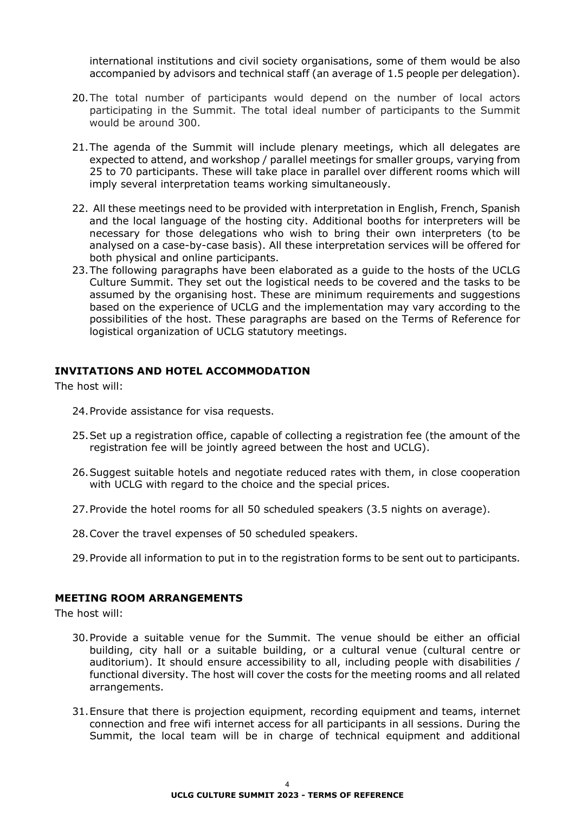international institutions and civil society organisations, some of them would be also accompanied by advisors and technical staff (an average of 1.5 people per delegation).

- 20.The total number of participants would depend on the number of local actors participating in the Summit. The total ideal number of participants to the Summit would be around 300.
- 21.The agenda of the Summit will include plenary meetings, which all delegates are expected to attend, and workshop / parallel meetings for smaller groups, varying from 25 to 70 participants. These will take place in parallel over different rooms which will imply several interpretation teams working simultaneously.
- 22. All these meetings need to be provided with interpretation in English, French, Spanish and the local language of the hosting city. Additional booths for interpreters will be necessary for those delegations who wish to bring their own interpreters (to be analysed on a case-by-case basis). All these interpretation services will be offered for both physical and online participants.
- 23.The following paragraphs have been elaborated as a guide to the hosts of the UCLG Culture Summit. They set out the logistical needs to be covered and the tasks to be assumed by the organising host. These are minimum requirements and suggestions based on the experience of UCLG and the implementation may vary according to the possibilities of the host. These paragraphs are based on the Terms of Reference for logistical organization of UCLG statutory meetings.

#### **INVITATIONS AND HOTEL ACCOMMODATION**

The host will:

- 24.Provide assistance for visa requests.
- 25.Set up a registration office, capable of collecting a registration fee (the amount of the registration fee will be jointly agreed between the host and UCLG).
- 26.Suggest suitable hotels and negotiate reduced rates with them, in close cooperation with UCLG with regard to the choice and the special prices.
- 27.Provide the hotel rooms for all 50 scheduled speakers (3.5 nights on average).
- 28.Cover the travel expenses of 50 scheduled speakers.
- 29.Provide all information to put in to the registration forms to be sent out to participants.

# **MEETING ROOM ARRANGEMENTS**

The host will:

- 30.Provide a suitable venue for the Summit. The venue should be either an official building, city hall or a suitable building, or a cultural venue (cultural centre or auditorium). It should ensure accessibility to all, including people with disabilities / functional diversity. The host will cover the costs for the meeting rooms and all related arrangements.
- 31.Ensure that there is projection equipment, recording equipment and teams, internet connection and free wifi internet access for all participants in all sessions. During the Summit, the local team will be in charge of technical equipment and additional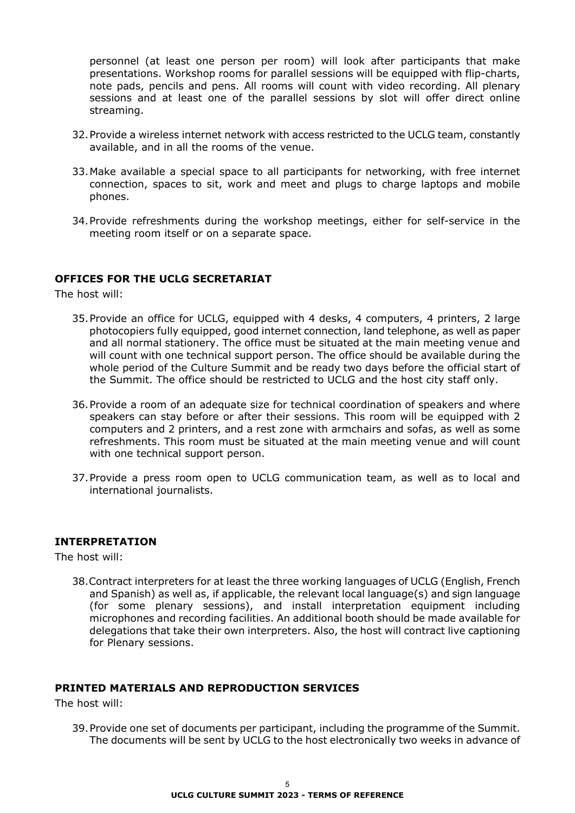personnel (at least one person per room) will look after participants that make presentations. Workshop rooms for parallel sessions will be equipped with flip-charts, note pads, pencils and pens. All rooms will count with video recording. All plenary sessions and at least one of the parallel sessions by slot will offer direct online streaming.

- 32.Provide a wireless internet network with access restricted to the UCLG team, constantly available, and in all the rooms of the venue.
- 33.Make available a special space to all participants for networking, with free internet connection, spaces to sit, work and meet and plugs to charge laptops and mobile phones.
- 34.Provide refreshments during the workshop meetings, either for self-service in the meeting room itself or on a separate space.

#### **OFFICES FOR THE UCLG SECRETARIAT**

The host will:

- 35.Provide an office for UCLG, equipped with 4 desks, 4 computers, 4 printers, 2 large photocopiers fully equipped, good internet connection, land telephone, as well as paper and all normal stationery. The office must be situated at the main meeting venue and will count with one technical support person. The office should be available during the whole period of the Culture Summit and be ready two days before the official start of the Summit. The office should be restricted to UCLG and the host city staff only.
- 36.Provide a room of an adequate size for technical coordination of speakers and where speakers can stay before or after their sessions. This room will be equipped with 2 computers and 2 printers, and a rest zone with armchairs and sofas, as well as some refreshments. This room must be situated at the main meeting venue and will count with one technical support person.
- 37.Provide a press room open to UCLG communication team, as well as to local and international journalists.

#### **INTERPRETATION**

The host will:

38.Contract interpreters for at least the three working languages of UCLG (English, French and Spanish) as well as, if applicable, the relevant local language(s) and sign language (for some plenary sessions), and install interpretation equipment including microphones and recording facilities. An additional booth should be made available for delegations that take their own interpreters. Also, the host will contract live captioning for Plenary sessions.

#### **PRINTED MATERIALS AND REPRODUCTION SERVICES**

The host will:

39.Provide one set of documents per participant, including the programme of the Summit. The documents will be sent by UCLG to the host electronically two weeks in advance of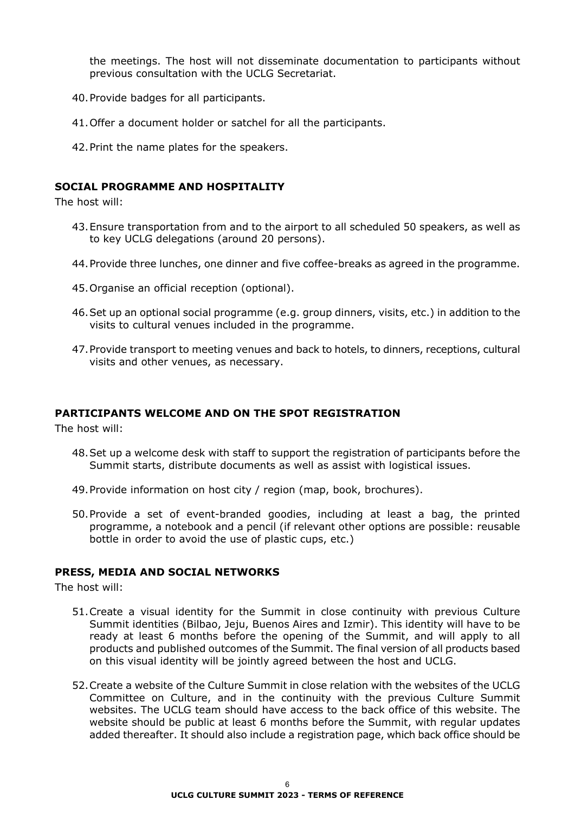the meetings. The host will not disseminate documentation to participants without previous consultation with the UCLG Secretariat.

- 40.Provide badges for all participants.
- 41.Offer a document holder or satchel for all the participants.
- 42.Print the name plates for the speakers.

### **SOCIAL PROGRAMME AND HOSPITALITY**

The host will:

- 43.Ensure transportation from and to the airport to all scheduled 50 speakers, as well as to key UCLG delegations (around 20 persons).
- 44.Provide three lunches, one dinner and five coffee-breaks as agreed in the programme.
- 45.Organise an official reception (optional).
- 46.Set up an optional social programme (e.g. group dinners, visits, etc.) in addition to the visits to cultural venues included in the programme.
- 47.Provide transport to meeting venues and back to hotels, to dinners, receptions, cultural visits and other venues, as necessary.

#### **PARTICIPANTS WELCOME AND ON THE SPOT REGISTRATION**

The host will:

- 48.Set up a welcome desk with staff to support the registration of participants before the Summit starts, distribute documents as well as assist with logistical issues.
- 49.Provide information on host city / region (map, book, brochures).
- 50.Provide a set of event-branded goodies, including at least a bag, the printed programme, a notebook and a pencil (if relevant other options are possible: reusable bottle in order to avoid the use of plastic cups, etc.)

#### **PRESS, MEDIA AND SOCIAL NETWORKS**

The host will:

- 51.Create a visual identity for the Summit in close continuity with previous Culture Summit identities (Bilbao, Jeju, Buenos Aires and Izmir). This identity will have to be ready at least 6 months before the opening of the Summit, and will apply to all products and published outcomes of the Summit. The final version of all products based on this visual identity will be jointly agreed between the host and UCLG.
- 52.Create a website of the Culture Summit in close relation with the websites of the UCLG Committee on Culture, and in the continuity with the previous Culture Summit websites. The UCLG team should have access to the back office of this website. The website should be public at least 6 months before the Summit, with regular updates added thereafter. It should also include a registration page, which back office should be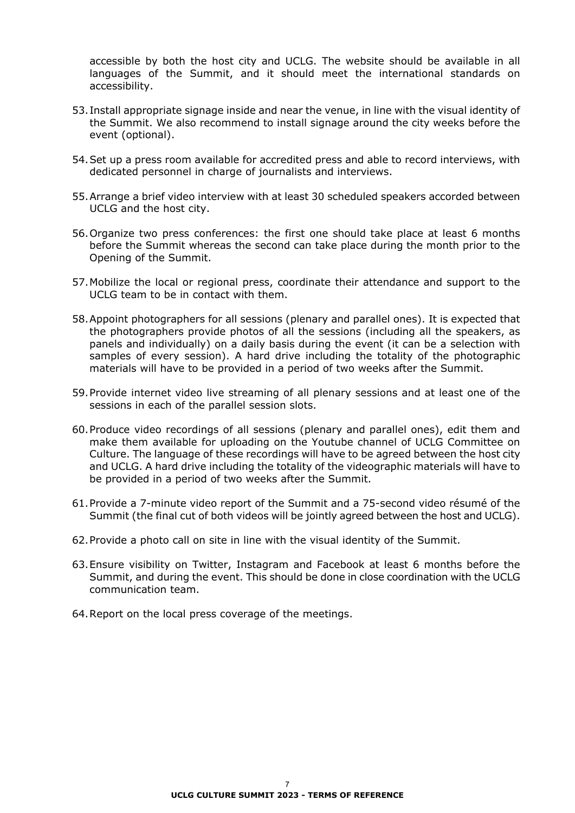accessible by both the host city and UCLG. The website should be available in all languages of the Summit, and it should meet the international standards on accessibility.

- 53.Install appropriate signage inside and near the venue, in line with the visual identity of the Summit. We also recommend to install signage around the city weeks before the event (optional).
- 54.Set up a press room available for accredited press and able to record interviews, with dedicated personnel in charge of journalists and interviews.
- 55.Arrange a brief video interview with at least 30 scheduled speakers accorded between UCLG and the host city.
- 56.Organize two press conferences: the first one should take place at least 6 months before the Summit whereas the second can take place during the month prior to the Opening of the Summit.
- 57.Mobilize the local or regional press, coordinate their attendance and support to the UCLG team to be in contact with them.
- 58.Appoint photographers for all sessions (plenary and parallel ones). It is expected that the photographers provide photos of all the sessions (including all the speakers, as panels and individually) on a daily basis during the event (it can be a selection with samples of every session). A hard drive including the totality of the photographic materials will have to be provided in a period of two weeks after the Summit.
- 59.Provide internet video live streaming of all plenary sessions and at least one of the sessions in each of the parallel session slots.
- 60.Produce video recordings of all sessions (plenary and parallel ones), edit them and make them available for uploading on the Youtube channel of UCLG Committee on Culture. The language of these recordings will have to be agreed between the host city and UCLG. A hard drive including the totality of the videographic materials will have to be provided in a period of two weeks after the Summit.
- 61.Provide a 7-minute video report of the Summit and a 75-second video résumé of the Summit (the final cut of both videos will be jointly agreed between the host and UCLG).
- 62.Provide a photo call on site in line with the visual identity of the Summit.
- 63.Ensure visibility on Twitter, Instagram and Facebook at least 6 months before the Summit, and during the event. This should be done in close coordination with the UCLG communication team.
- 64.Report on the local press coverage of the meetings.